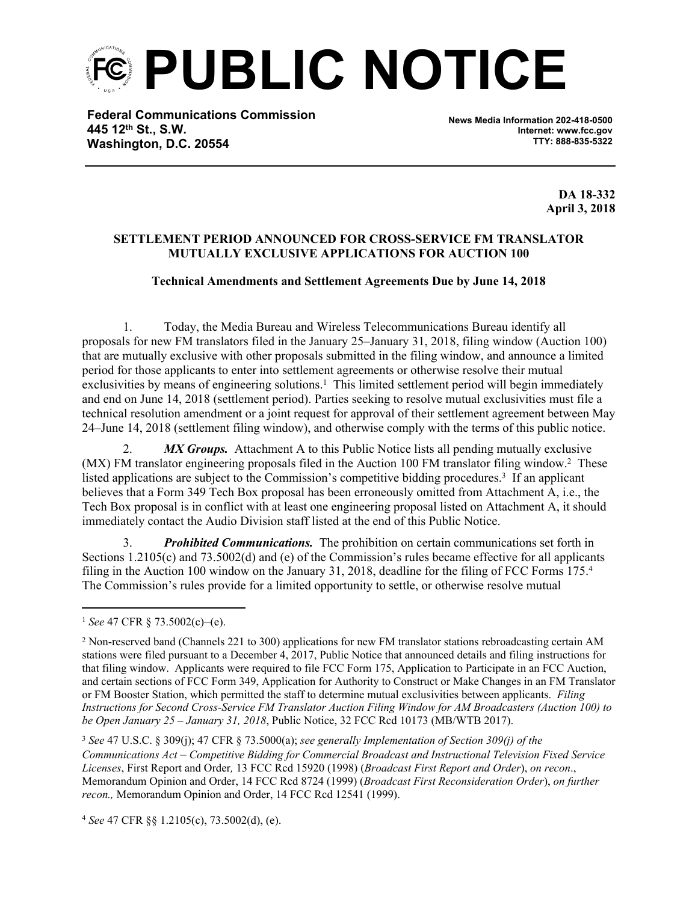**PUBLIC NOTICE**

**Federal Communications Commission 445 12th St., S.W. Washington, D.C. 20554**

**News Media Information 202-418-0500 Internet: www.fcc.gov TTY: 888-835-5322**

> **DA 18-332 April 3, 2018**

## **SETTLEMENT PERIOD ANNOUNCED FOR CROSS-SERVICE FM TRANSLATOR MUTUALLY EXCLUSIVE APPLICATIONS FOR AUCTION 100**

## **Technical Amendments and Settlement Agreements Due by June 14, 2018**

1. Today, the Media Bureau and Wireless Telecommunications Bureau identify all proposals for new FM translators filed in the January 25–January 31, 2018, filing window (Auction 100) that are mutually exclusive with other proposals submitted in the filing window, and announce a limited period for those applicants to enter into settlement agreements or otherwise resolve their mutual exclusivities by means of engineering solutions.<sup>1</sup> This limited settlement period will begin immediately and end on June 14, 2018 (settlement period). Parties seeking to resolve mutual exclusivities must file a technical resolution amendment or a joint request for approval of their settlement agreement between May 24–June 14, 2018 (settlement filing window), and otherwise comply with the terms of this public notice.

2. *MX Groups.* Attachment A to this Public Notice lists all pending mutually exclusive (MX) FM translator engineering proposals filed in the Auction 100 FM translator filing window.<sup>2</sup> These listed applications are subject to the Commission's competitive bidding procedures.<sup>3</sup> If an applicant believes that a Form 349 Tech Box proposal has been erroneously omitted from Attachment A, i.e., the Tech Box proposal is in conflict with at least one engineering proposal listed on Attachment A, it should immediately contact the Audio Division staff listed at the end of this Public Notice.

3. *Prohibited Communications.* The prohibition on certain communications set forth in Sections 1.2105(c) and 73.5002(d) and (e) of the Commission's rules became effective for all applicants filing in the Auction 100 window on the January 31, 2018, deadline for the filing of FCC Forms 175.<sup>4</sup> The Commission's rules provide for a limited opportunity to settle, or otherwise resolve mutual

<sup>1</sup> *See* 47 CFR § 73.5002(c)–(e).

<sup>&</sup>lt;sup>2</sup> Non-reserved band (Channels 221 to 300) applications for new FM translator stations rebroadcasting certain AM stations were filed pursuant to a December 4, 2017, Public Notice that announced details and filing instructions for that filing window. Applicants were required to file FCC Form 175, Application to Participate in an FCC Auction, and certain sections of FCC Form 349, Application for Authority to Construct or Make Changes in an FM Translator or FM Booster Station, which permitted the staff to determine mutual exclusivities between applicants. *Filing Instructions for Second Cross-Service FM Translator Auction Filing Window for AM Broadcasters (Auction 100) to be Open January 25 – January 31, 2018*, Public Notice, 32 FCC Rcd 10173 (MB/WTB 2017).

<sup>3</sup> *See* 47 U.S.C. § 309(j); 47 CFR § 73.5000(a); *see generally Implementation of Section 309(j) of the Communications Act – Competitive Bidding for Commercial Broadcast and Instructional Television Fixed Service Licenses*, First Report and Order*,* 13 FCC Rcd 15920 (1998) (*Broadcast First Report and Order*), *on recon*., Memorandum Opinion and Order, 14 FCC Rcd 8724 (1999) (*Broadcast First Reconsideration Order*), *on further recon.,* Memorandum Opinion and Order, 14 FCC Rcd 12541 (1999).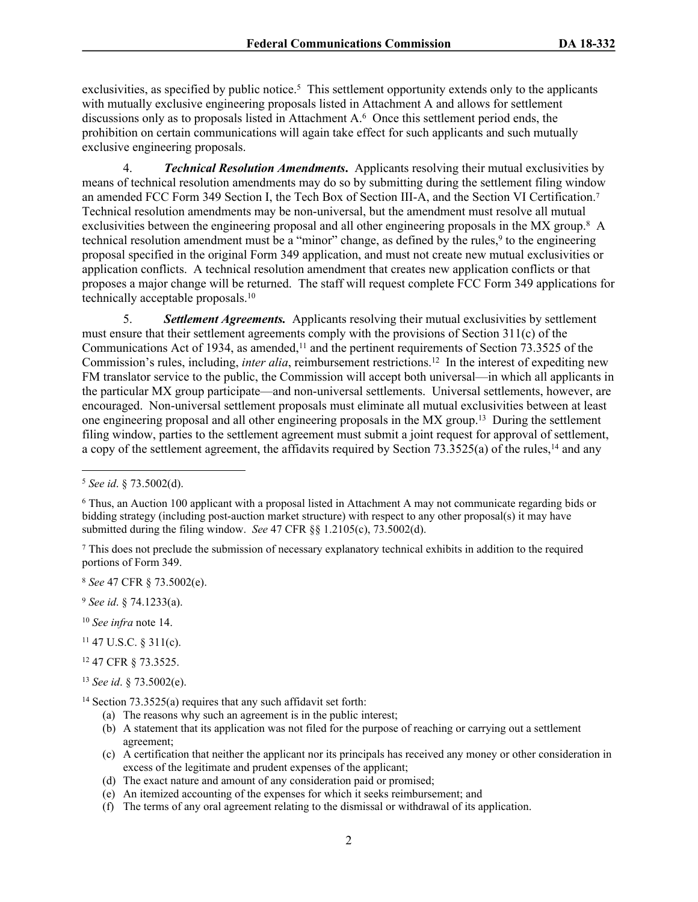exclusivities, as specified by public notice.<sup>5</sup> This settlement opportunity extends only to the applicants with mutually exclusive engineering proposals listed in Attachment A and allows for settlement discussions only as to proposals listed in Attachment A.<sup>6</sup> Once this settlement period ends, the prohibition on certain communications will again take effect for such applicants and such mutually exclusive engineering proposals.

4. *Technical Resolution Amendments***.** Applicants resolving their mutual exclusivities by means of technical resolution amendments may do so by submitting during the settlement filing window an amended FCC Form 349 Section I, the Tech Box of Section III-A, and the Section VI Certification.<sup>7</sup> Technical resolution amendments may be non-universal, but the amendment must resolve all mutual exclusivities between the engineering proposal and all other engineering proposals in the MX group.<sup>8</sup> A technical resolution amendment must be a "minor" change, as defined by the rules,<sup>9</sup> to the engineering proposal specified in the original Form 349 application, and must not create new mutual exclusivities or application conflicts. A technical resolution amendment that creates new application conflicts or that proposes a major change will be returned. The staff will request complete FCC Form 349 applications for technically acceptable proposals.<sup>10</sup>

5. *Settlement Agreements.* Applicants resolving their mutual exclusivities by settlement must ensure that their settlement agreements comply with the provisions of Section 311(c) of the Communications Act of 1934, as amended,<sup>11</sup> and the pertinent requirements of Section 73.3525 of the Commission's rules, including, *inter alia*, reimbursement restrictions.<sup>12</sup> In the interest of expediting new FM translator service to the public, the Commission will accept both universal—in which all applicants in the particular MX group participate—and non-universal settlements. Universal settlements, however, are encouraged. Non-universal settlement proposals must eliminate all mutual exclusivities between at least one engineering proposal and all other engineering proposals in the MX group.<sup>13</sup> During the settlement filing window, parties to the settlement agreement must submit a joint request for approval of settlement, a copy of the settlement agreement, the affidavits required by Section 73.3525(a) of the rules,<sup>14</sup> and any

7 This does not preclude the submission of necessary explanatory technical exhibits in addition to the required portions of Form 349.

<sup>8</sup> *See* 47 CFR § 73.5002(e).

- <sup>9</sup> *See id*. § 74.1233(a).
- <sup>10</sup> *See infra* note 14.
- $11$  47 U.S.C. § 311(c).
- <sup>12</sup> 47 CFR § 73.3525.
- <sup>13</sup> *See id*. § 73.5002(e).

- (a) The reasons why such an agreement is in the public interest;
- (b) A statement that its application was not filed for the purpose of reaching or carrying out a settlement agreement;
- (c) A certification that neither the applicant nor its principals has received any money or other consideration in excess of the legitimate and prudent expenses of the applicant;
- (d) The exact nature and amount of any consideration paid or promised;
- (e) An itemized accounting of the expenses for which it seeks reimbursement; and
- (f) The terms of any oral agreement relating to the dismissal or withdrawal of its application.

<sup>5</sup>  *See id*. § 73.5002(d).

<sup>6</sup> Thus, an Auction 100 applicant with a proposal listed in Attachment A may not communicate regarding bids or bidding strategy (including post-auction market structure) with respect to any other proposal(s) it may have submitted during the filing window. *See* 47 CFR §§ 1.2105(c), 73.5002(d).

<sup>14</sup> Section 73.3525(a) requires that any such affidavit set forth: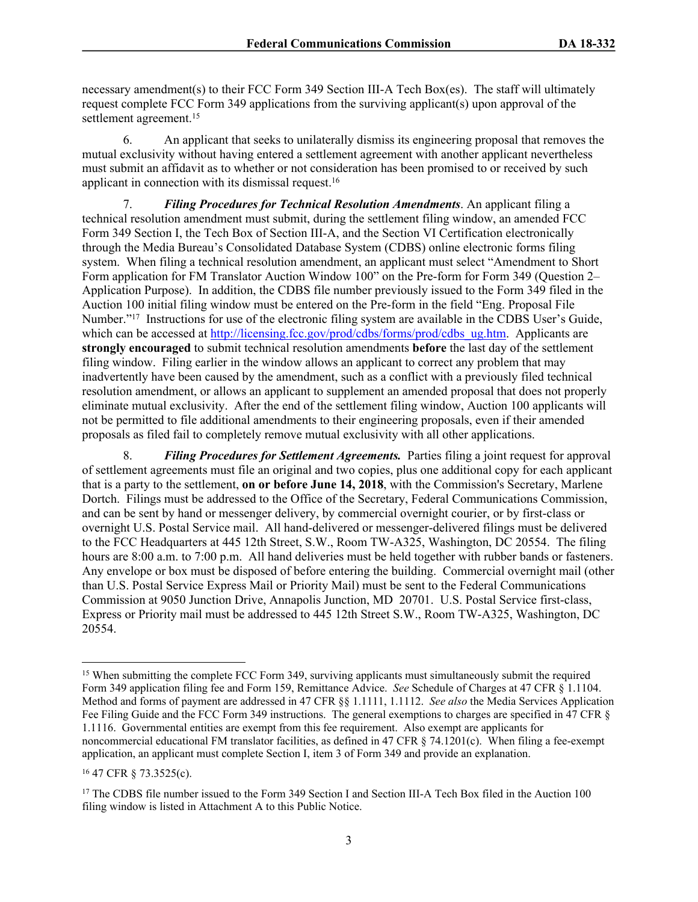necessary amendment(s) to their FCC Form 349 Section III-A Tech Box(es).The staff will ultimately request complete FCC Form 349 applications from the surviving applicant(s) upon approval of the settlement agreement.<sup>15</sup>

6. An applicant that seeks to unilaterally dismiss its engineering proposal that removes the mutual exclusivity without having entered a settlement agreement with another applicant nevertheless must submit an affidavit as to whether or not consideration has been promised to or received by such applicant in connection with its dismissal request.<sup>16</sup>

7. *Filing Procedures for Technical Resolution Amendments*. An applicant filing a technical resolution amendment must submit, during the settlement filing window, an amended FCC Form 349 Section I, the Tech Box of Section III-A, and the Section VI Certification electronically through the Media Bureau's Consolidated Database System (CDBS) online electronic forms filing system. When filing a technical resolution amendment, an applicant must select "Amendment to Short Form application for FM Translator Auction Window 100" on the Pre-form for Form 349 (Question 2– Application Purpose). In addition, the CDBS file number previously issued to the Form 349 filed in the Auction 100 initial filing window must be entered on the Pre-form in the field "Eng. Proposal File Number."<sup>17</sup> Instructions for use of the electronic filing system are available in the CDBS User's Guide, which can be accessed at [http://licensing.fcc.gov/prod/cdbs/forms/prod/cdbs\\_ug.htm](http://licensing.fcc.gov/prod/cdbs/forms/prod/cdbs_ug.htm). Applicants are **strongly encouraged** to submit technical resolution amendments **before** the last day of the settlement filing window. Filing earlier in the window allows an applicant to correct any problem that may inadvertently have been caused by the amendment, such as a conflict with a previously filed technical resolution amendment, or allows an applicant to supplement an amended proposal that does not properly eliminate mutual exclusivity. After the end of the settlement filing window, Auction 100 applicants will not be permitted to file additional amendments to their engineering proposals, even if their amended proposals as filed fail to completely remove mutual exclusivity with all other applications.

8. *Filing Procedures for Settlement Agreements.* Parties filing a joint request for approval of settlement agreements must file an original and two copies, plus one additional copy for each applicant that is a party to the settlement, **on or before June 14, 2018**, with the Commission's Secretary, Marlene Dortch. Filings must be addressed to the Office of the Secretary, Federal Communications Commission, and can be sent by hand or messenger delivery, by commercial overnight courier, or by first-class or overnight U.S. Postal Service mail. All hand-delivered or messenger-delivered filings must be delivered to the FCC Headquarters at 445 12th Street, S.W., Room TW-A325, Washington, DC 20554. The filing hours are 8:00 a.m. to 7:00 p.m. All hand deliveries must be held together with rubber bands or fasteners. Any envelope or box must be disposed of before entering the building. Commercial overnight mail (other than U.S. Postal Service Express Mail or Priority Mail) must be sent to the Federal Communications Commission at 9050 Junction Drive, Annapolis Junction, MD 20701. U.S. Postal Service first-class, Express or Priority mail must be addressed to 445 12th Street S.W., Room TW-A325, Washington, DC 20554.

<sup>15</sup> When submitting the complete FCC Form 349, surviving applicants must simultaneously submit the required Form 349 application filing fee and Form 159, Remittance Advice. *See* Schedule of Charges at 47 CFR § 1.1104. Method and forms of payment are addressed in 47 CFR §§ 1.1111, 1.1112. *See also* the Media Services Application Fee Filing Guide and the FCC Form 349 instructions. The general exemptions to charges are specified in 47 CFR § 1.1116. Governmental entities are exempt from this fee requirement. Also exempt are applicants for noncommercial educational FM translator facilities, as defined in 47 CFR § 74.1201(c). When filing a fee-exempt application, an applicant must complete Section I, item 3 of Form 349 and provide an explanation.

<sup>16</sup> 47 CFR § 73.3525(c).

<sup>&</sup>lt;sup>17</sup> The CDBS file number issued to the Form 349 Section I and Section III-A Tech Box filed in the Auction 100 filing window is listed in Attachment A to this Public Notice.